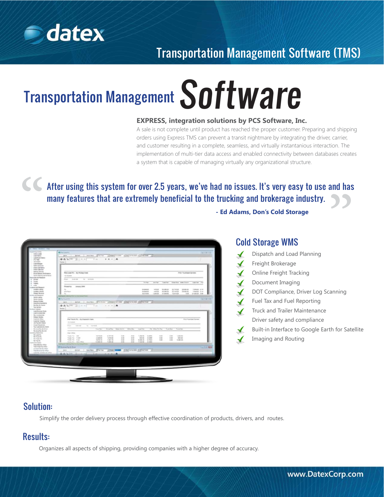

# Transportation Management Software (TMS)

# Transportation Management Software

#### **EXPRESS, integration solutions by PCS Software, Inc.**

A sale is not complete until product has reached the proper customer. Preparing and shipping orders using Express TMS can prevent a transit nightmare by integrating the driver, carrier, and customer resulting in a complete, seamless, and virtually instantanious interaction. The implementation of multi-tier data access and enabled connectivity between databases creates a system that is capable of managing virtually any organizational structure.

" and has After using this system for over 2.5 years, we've had no issues. It's very easy to use and has many features that are extremely beneficial to the trucking and brokerage industry.

| LOS Wales<br>car three to<br>Light Disease<br><b>RADIOENIA</b><br>Crank Salimano                                                                                                        | <b>BASH SECURE THE FRAME</b><br>Renault                                                                                                                                                                                                                                                                                                                                                                                                                                                                                                                                                 |                                                                   |                                                    |                                                          |                                                   |                                                                  |                                                              |                                                     |                                   |                                                          |                                                     |                      |  |
|-----------------------------------------------------------------------------------------------------------------------------------------------------------------------------------------|-----------------------------------------------------------------------------------------------------------------------------------------------------------------------------------------------------------------------------------------------------------------------------------------------------------------------------------------------------------------------------------------------------------------------------------------------------------------------------------------------------------------------------------------------------------------------------------------|-------------------------------------------------------------------|----------------------------------------------------|----------------------------------------------------------|---------------------------------------------------|------------------------------------------------------------------|--------------------------------------------------------------|-----------------------------------------------------|-----------------------------------|----------------------------------------------------------|-----------------------------------------------------|----------------------|--|
| <b>State Lab Ave</b><br>Detroits Nervous<br>Goat Galvais Automative<br><b>Carrie Science References</b>                                                                                 | For Luxel P.C. - By Nickell State<br><b>TANKING</b>                                                                                                                                                                                                                                                                                                                                                                                                                                                                                                                                     |                                                                   |                                                    |                                                          |                                                   |                                                                  | <b>POS Rushmen Dentero</b>                                   |                                                     |                                   |                                                          |                                                     |                      |  |
| cross and financial<br><b>STARR</b><br>Thanks .<br><b>Taken</b>                                                                                                                         | and down<br>Folk State<br>. No rented<br>$\frac{1}{2} \left( \frac{1}{2} \right) \left( \frac{1}{2} \right) \left( \frac{1}{2} \right) \left( \frac{1}{2} \right) \left( \frac{1}{2} \right) \left( \frac{1}{2} \right) \left( \frac{1}{2} \right) \left( \frac{1}{2} \right) \left( \frac{1}{2} \right) \left( \frac{1}{2} \right) \left( \frac{1}{2} \right) \left( \frac{1}{2} \right) \left( \frac{1}{2} \right) \left( \frac{1}{2} \right) \left( \frac{1}{2} \right) \left( \frac{1}{2} \right) \left( \frac$                                                                     |                                                                   |                                                    |                                                          |                                                   |                                                                  | <b>Tal Rac</b><br><b>All Fax</b>                             | Transportion                                        |                                   | Graph Mug. Today Curry                                   | saying. As                                          |                      |  |
| $-$<br><b>Allen and Texas and</b><br>LANGUAGE AND CA<br><b>London Avita</b><br><b>Stage Northern</b><br><b><i>EXISTENCIAL</i></b>                                                       | $\frac{1}{2} \left( \frac{1}{2} \right) \left( \frac{1}{2} \right) \left( \frac{1}{2} \right) \left( \frac{1}{2} \right) \left( \frac{1}{2} \right) \left( \frac{1}{2} \right) \left( \frac{1}{2} \right) \left( \frac{1}{2} \right) \left( \frac{1}{2} \right) \left( \frac{1}{2} \right) \left( \frac{1}{2} \right) \left( \frac{1}{2} \right) \left( \frac{1}{2} \right) \left( \frac{1}{2} \right) \left( \frac{1}{2} \right) \left( \frac{1}{2} \right) \left( \frac$<br>Parasking  . consume 2004<br>$\tau_{\rm{tr}}$ .<br>and face.<br>$\frac{1}{2}$<br>$^{12}$<br><b>ANTICO</b> |                                                                   |                                                    |                                                          |                                                   | <b>DESIGNER</b><br>030630<br><b>AS DOWNER</b>                    | 48.36<br>$-0.16$<br>1,046,046                                | <b>CALL DOWN AND</b><br><b>DOM UP</b><br>101606-00E | 1179.20<br>ALC: NO<br>casis in    | 2010/01/05<br>241092-002<br>0.44                         | T-946-SE 30 Tol.<br><b>TOMAS AVE</b><br>2103526 230 |                      |  |
| Tak-Takirkin,<br><b>Address Street</b><br><b><i>UNITED RIGHTS AT THE</i></b><br>Load Automotives<br><b>Richmond</b><br><b>United States</b><br>Customer Stakes<br><b>CASTIN' STARTS</b> | Parasa 1<br>Fel Track Ft. - Ex Englate Sales<br>Will Fortune German                                                                                                                                                                                                                                                                                                                                                                                                                                                                                                                     |                                                                   |                                                    |                                                          |                                                   |                                                                  |                                                              |                                                     |                                   |                                                          |                                                     |                      |  |
| (d) Review Steve<br><b>Harachusetten</b><br>The Controllera By Horsh                                                                                                                    | <b>Harrison</b><br><b>CONTRACTOR</b><br>Ford Hallmark Pa. carried<br><b>STATISTICS</b>                                                                                                                                                                                                                                                                                                                                                                                                                                                                                                  |                                                                   |                                                    |                                                          |                                                   |                                                                  |                                                              |                                                     |                                   |                                                          |                                                     |                      |  |
| <b>Blue an cash Page 12x Schools</b><br>Bo anywhy, do into<br>any hoursels.<br><b>PALICIAN FRE</b><br>day Proced File<br>Har Trade Ric<br>day to puller.                                | <b>STATE</b><br><b>Daniel Office</b><br>Total Tel: 1981<br>Toyota, Talk, T. (20)<br>Turan Tax., Willis<br>Trend the Union Office:                                                                                                                                                                                                                                                                                                                                                                                                                                                       | <b>RAFFICIAL</b><br>3.400.00<br>during our<br><b>CALCULAR TAB</b> | to half ago.<br>1,018.00<br>$-460.76$<br>T-449 (M) | Sing-Fig. - Sees Curry<br>4.44<br>o se<br>$+100$<br>A-MA | <b>Care Bay</b><br>3 inch<br>1.11<br>A-MA<br>a so | car is<br>1.25.94<br>100.00<br>9.000 AS - 9.7044<br>F. plan date | For more for Fax<br><b>A Johns</b><br>31 AME<br><b>N-AMM</b> | 4.44<br>$4 - 34$<br><b>STAR</b>                     | Total Bab<br>440<br>4.140<br>4.00 | Transit Test<br>$-2063$ Milk<br><b>ASKAR</b><br>0.000 KK |                                                     |                      |  |
| <b>ALGOLD AVE</b><br><b>Visit March, 1744</b><br>Four times for 2 floor<br>manipulate for 1994.<br>Transferation by Office                                                              | Philadelphia & Doug<br>per  plus in meter. There will be seen if in an end of meters of                                                                                                                                                                                                                                                                                                                                                                                                                                                                                                 |                                                                   |                                                    |                                                          |                                                   |                                                                  |                                                              |                                                     |                                   |                                                          |                                                     | <b>Call Lot Made</b> |  |
| contribute during the Office.                                                                                                                                                           | distribution of the control of the control of the control of the control of                                                                                                                                                                                                                                                                                                                                                                                                                                                                                                             |                                                                   |                                                    |                                                          |                                                   |                                                                  |                                                              |                                                     |                                   |                                                          |                                                     |                      |  |

## Cold Storage WMS

**- Ed Adams, Don's Cold Storage**

Dispatch and Load Planning Freight Brokerage  $\mathbf{r}$ Online Freight Tracking  $\blacktriangle$ Document Imaging DOT Compliance, Driver Log Scanning Fuel Tax and Fuel Reporting Truck and Trailer Maintenance Driver safety and compliance Built-in Interface to Google Earth for Satellite Imaging and Routing

### Solution:

Simplify the order delivery process through effective coordination of products, drivers, and routes.

### Results:

Organizes all aspects of shipping, providing companies with a higher degree of accuracy.